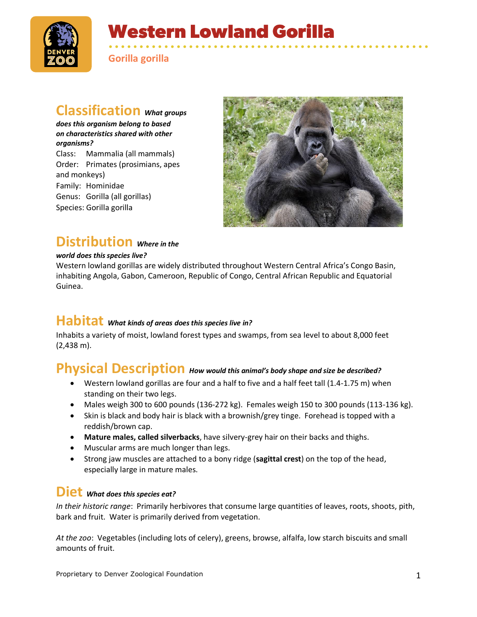

# **Western Lowland Gorilla**

• • • • • • • • • • • • • • • • • • • • • • • • • • • • • • • • • • • • • • • • • • • • • • • • • • • • **Gorilla gorilla**

### **Classification** *What groups*

*does this organism belong to based on characteristics shared with other organisms?*

Class: Mammalia (all mammals) Order: Primates (prosimians, apes and monkeys) Family: Hominidae Genus: Gorilla (all gorillas) Species: Gorilla gorilla



#### **Distribution** *Where in the*

#### *world does this species live?*

Western lowland gorillas are widely distributed throughout Western Central Africa's Congo Basin, inhabiting Angola, Gabon, Cameroon, Republic of Congo, Central African Republic and Equatorial Guinea.

## **Habitat** *What kinds of areas does this species live in?*

Inhabits a variety of moist, lowland forest types and swamps, from sea level to about 8,000 feet (2,438 m).

## **Physical Description** *How would this animal's body shape and size be described?*

- Western lowland gorillas are four and a half to five and a half feet tall (1.4-1.75 m) when standing on their two legs.
- Males weigh 300 to 600 pounds  $(136-272 \text{ kg})$ . Females weigh 150 to 300 pounds  $(113-136 \text{ kg})$ .
- Skin is black and body hair is black with a brownish/grey tinge. Forehead is topped with a reddish/brown cap.
- **Mature males, called silverbacks**, have silvery-grey hair on their backs and thighs.
- Muscular arms are much longer than legs.
- Strong jaw muscles are attached to a bony ridge (**sagittal crest**) on the top of the head, especially large in mature males.

#### **Diet** *What does this species eat?*

*In their historic range*: Primarily herbivores that consume large quantities of leaves, roots, shoots, pith, bark and fruit. Water is primarily derived from vegetation.

*At the zoo*: Vegetables (including lots of celery), greens, browse, alfalfa, low starch biscuits and small amounts of fruit.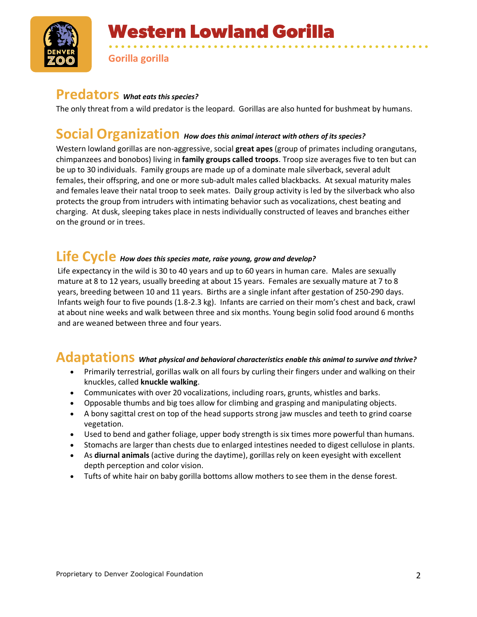

**Gorilla gorilla**

#### **Predators** *What eats this species?*

The only threat from a wild predator is the leopard. Gorillas are also hunted for bushmeat by humans.

• • • • • • • • • • • • • • • • • • • • • • • • • • • • • • • • • • • • • • • • • • • • • • • • • • • •

#### **Social Organization** *How does this animal interact with others of its species?*

Western lowland gorillas are non-aggressive, social **great apes** (group of primates including orangutans, chimpanzees and bonobos) living in **family groups called troops**. Troop size averages five to ten but can be up to 30 individuals. Family groups are made up of a dominate male silverback, several adult females, their offspring, and one or more sub-adult males called blackbacks. At sexual maturity males and females leave their natal troop to seek mates. Daily group activity is led by the silverback who also protects the group from intruders with intimating behavior such as vocalizations, chest beating and charging. At dusk, sleeping takes place in nests individually constructed of leaves and branches either on the ground or in trees.

## **Life Cycle** *How does this species mate, raise young, grow and develop?*

Life expectancy in the wild is 30 to 40 years and up to 60 years in human care. Males are sexually mature at 8 to 12 years, usually breeding at about 15 years. Females are sexually mature at 7 to 8 years, breeding between 10 and 11 years. Births are a single infant after gestation of 250-290 days. Infants weigh four to five pounds (1.8-2.3 kg). Infants are carried on their mom's chest and back, crawl at about nine weeks and walk between three and six months. Young begin solid food around 6 months and are weaned between three and four years.

### **Adaptations** *What physical and behavioral characteristics enable this animal to survive and thrive?*

- Primarily terrestrial, gorillas walk on all fours by curling their fingers under and walking on their knuckles, called **knuckle walking**.
- Communicates with over 20 vocalizations, including roars, grunts, whistles and barks.
- Opposable thumbs and big toes allow for climbing and grasping and manipulating objects.
- A bony sagittal crest on top of the head supports strong jaw muscles and teeth to grind coarse vegetation.
- Used to bend and gather foliage, upper body strength is six times more powerful than humans.
- Stomachs are larger than chests due to enlarged intestines needed to digest cellulose in plants.
- As **diurnal animals** (active during the daytime), gorillas rely on keen eyesight with excellent depth perception and color vision.
- Tufts of white hair on baby gorilla bottoms allow mothers to see them in the dense forest.